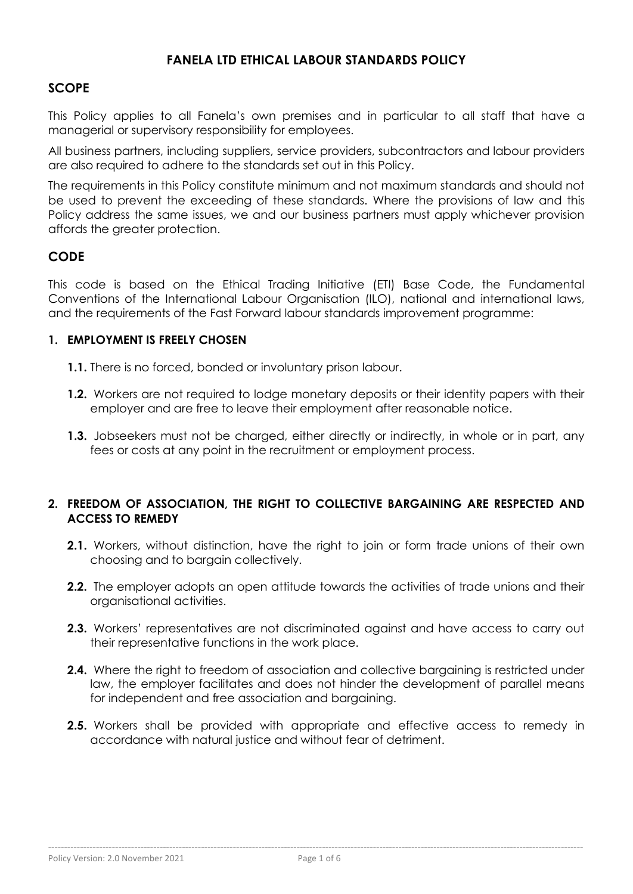## **FANELA LTD ETHICAL LABOUR STANDARDS POLICY**

### **SCOPE**

This Policy applies to all Fanela's own premises and in particular to all staff that have a managerial or supervisory responsibility for employees.

All business partners, including suppliers, service providers, subcontractors and labour providers are also required to adhere to the standards set out in this Policy.

The requirements in this Policy constitute minimum and not maximum standards and should not be used to prevent the exceeding of these standards. Where the provisions of law and this Policy address the same issues, we and our business partners must apply whichever provision affords the greater protection.

#### **CODE**

This code is based on the Ethical Trading Initiative (ETI) Base Code, the Fundamental Conventions of the International Labour Organisation (ILO), national and international laws, and the requirements of the Fast Forward labour standards improvement programme:

#### **1. EMPLOYMENT IS FREELY CHOSEN**

- **1.1.** There is no forced, bonded or involuntary prison labour.
- **1.2.** Workers are not required to lodge monetary deposits or their identity papers with their employer and are free to leave their employment after reasonable notice.
- **1.3.** Jobseekers must not be charged, either directly or indirectly, in whole or in part, any fees or costs at any point in the recruitment or employment process.

#### **2. FREEDOM OF ASSOCIATION, THE RIGHT TO COLLECTIVE BARGAINING ARE RESPECTED AND ACCESS TO REMEDY**

- **2.1.** Workers, without distinction, have the right to join or form trade unions of their own choosing and to bargain collectively.
- **2.2.** The employer adopts an open attitude towards the activities of trade unions and their organisational activities.
- **2.3.** Workers' representatives are not discriminated against and have access to carry out their representative functions in the work place.
- **2.4.** Where the right to freedom of association and collective bargaining is restricted under law, the employer facilitates and does not hinder the development of parallel means for independent and free association and bargaining.
- **2.5.** Workers shall be provided with appropriate and effective access to remedy in accordance with natural justice and without fear of detriment.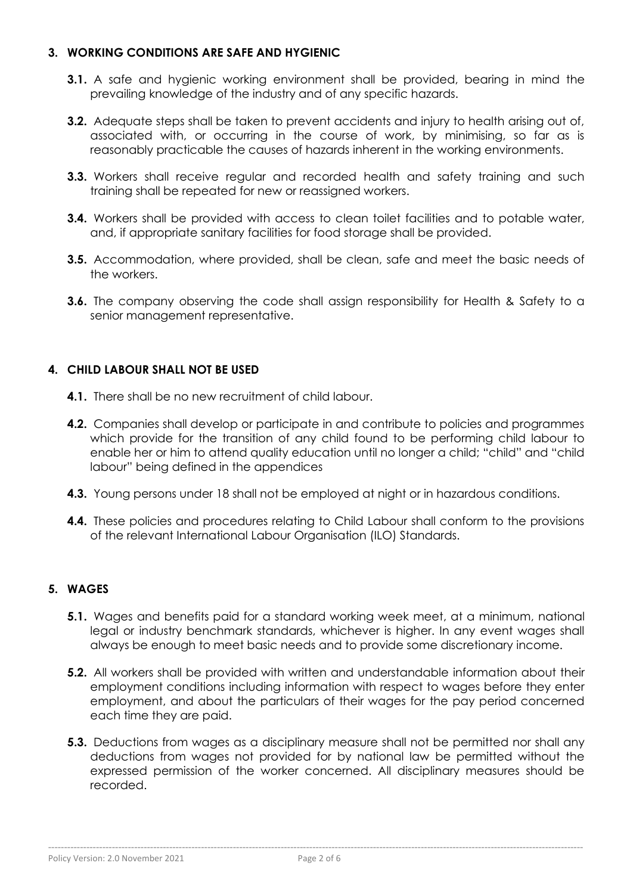### **3. WORKING CONDITIONS ARE SAFE AND HYGIENIC**

- **3.1.** A safe and hygienic working environment shall be provided, bearing in mind the prevailing knowledge of the industry and of any specific hazards.
- **3.2.** Adequate steps shall be taken to prevent accidents and injury to health arisina out of, associated with, or occurring in the course of work, by minimising, so far as is reasonably practicable the causes of hazards inherent in the working environments.
- **3.3.** Workers shall receive regular and recorded health and safety training and such training shall be repeated for new or reassigned workers.
- **3.4.** Workers shall be provided with access to clean toilet facilities and to potable water, and, if appropriate sanitary facilities for food storage shall be provided.
- **3.5.** Accommodation, where provided, shall be clean, safe and meet the basic needs of the workers.
- **3.6.** The company observing the code shall assign responsibility for Health & Safety to a senior management representative.

## **4. CHILD LABOUR SHALL NOT BE USED**

- **4.1.** There shall be no new recruitment of child labour.
- **4.2.** Companies shall develop or participate in and contribute to policies and programmes which provide for the transition of any child found to be performing child labour to enable her or him to attend quality education until no longer a child; "child" and "child labour" being defined in the appendices
- **4.3.** Young persons under 18 shall not be employed at night or in hazardous conditions.
- **4.4.** These policies and procedures relating to Child Labour shall conform to the provisions of the relevant International Labour Organisation (ILO) Standards.

## **5. WAGES**

- **5.1.** Wages and benefits paid for a standard working week meet, at a minimum, national legal or industry benchmark standards, whichever is higher. In any event wages shall always be enough to meet basic needs and to provide some discretionary income.
- **5.2.** All workers shall be provided with written and understandable information about their employment conditions including information with respect to wages before they enter employment, and about the particulars of their wages for the pay period concerned each time they are paid.
- **5.3.** Deductions from wages as a disciplinary measure shall not be permitted nor shall any deductions from wages not provided for by national law be permitted without the expressed permission of the worker concerned. All disciplinary measures should be recorded.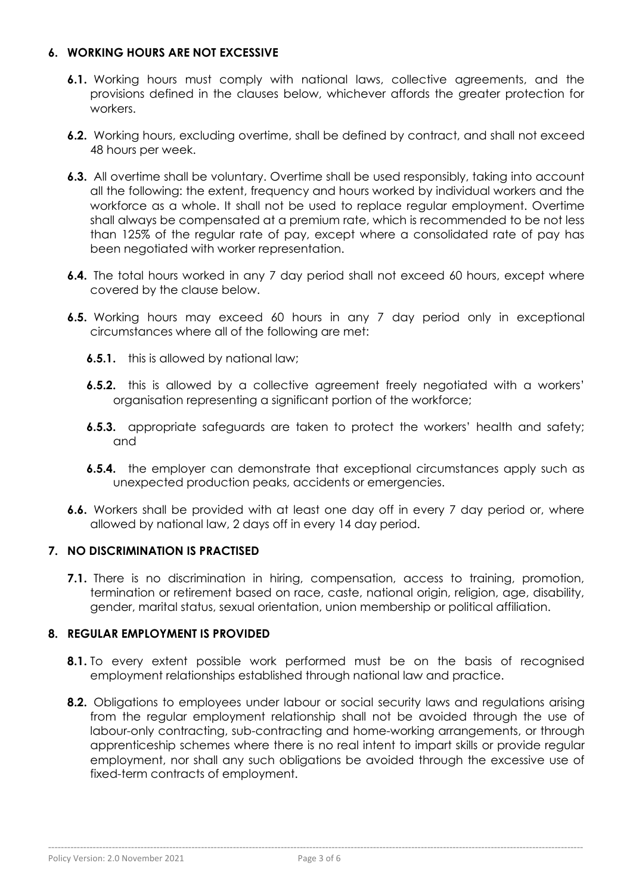### **6. WORKING HOURS ARE NOT EXCESSIVE**

- **6.1.** Working hours must comply with national laws, collective agreements, and the provisions defined in the clauses below, whichever affords the greater protection for workers.
- **6.2.** Working hours, excluding overtime, shall be defined by contract, and shall not exceed 48 hours per week.
- **6.3.** All overtime shall be voluntary. Overtime shall be used responsibly, taking into account all the following: the extent, frequency and hours worked by individual workers and the workforce as a whole. It shall not be used to replace regular employment. Overtime shall always be compensated at a premium rate, which is recommended to be not less than 125% of the regular rate of pay, except where a consolidated rate of pay has been negotiated with worker representation.
- **6.4.** The total hours worked in any 7 day period shall not exceed 60 hours, except where covered by the clause below.
- **6.5.** Working hours may exceed 60 hours in any 7 day period only in exceptional circumstances where all of the following are met:
	- **6.5.1.** this is allowed by national law;
	- **6.5.2.** this is allowed by a collective agreement freely negotiated with a workers' organisation representing a significant portion of the workforce;
	- **6.5.3.** appropriate safeguards are taken to protect the workers' health and safety; and
	- **6.5.4.** the employer can demonstrate that exceptional circumstances apply such as unexpected production peaks, accidents or emergencies.
- **6.6.** Workers shall be provided with at least one day off in every 7 day period or, where allowed by national law, 2 days off in every 14 day period.

#### **7. NO DISCRIMINATION IS PRACTISED**

**7.1.** There is no discrimination in hiring, compensation, access to training, promotion, termination or retirement based on race, caste, national origin, religion, age, disability, gender, marital status, sexual orientation, union membership or political affiliation.

#### **8. REGULAR EMPLOYMENT IS PROVIDED**

- **8.1.** To every extent possible work performed must be on the basis of recognised employment relationships established through national law and practice.
- **8.2.** Obligations to employees under labour or social security laws and regulations arising from the regular employment relationship shall not be avoided through the use of labour-only contracting, sub-contracting and home-working arrangements, or through apprenticeship schemes where there is no real intent to impart skills or provide regular employment, nor shall any such obligations be avoided through the excessive use of fixed-term contracts of employment.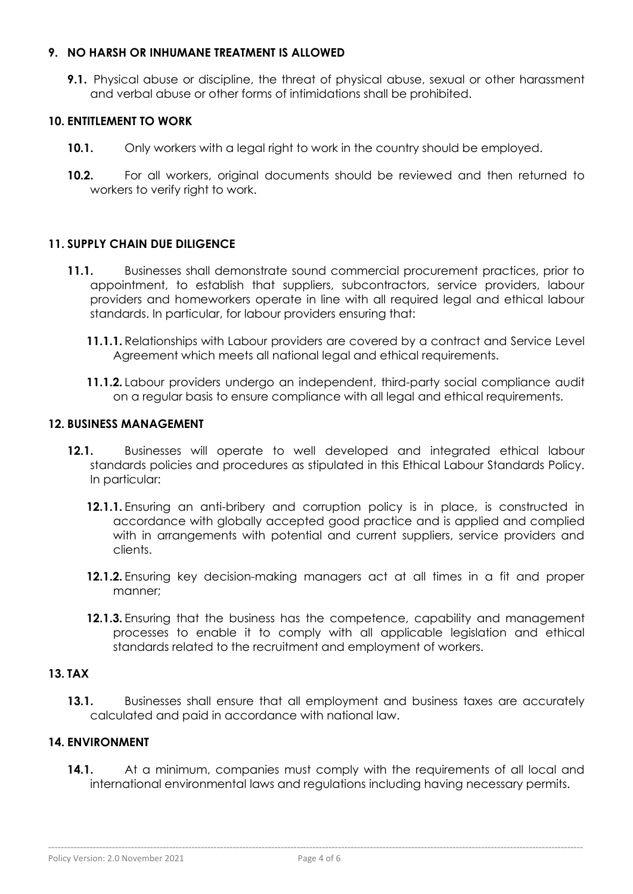#### **9. NO HARSH OR INHUMANE TREATMENT IS ALLOWED**

**9.1.** Physical abuse or discipline, the threat of physical abuse, sexual or other harassment and verbal abuse or other forms of intimidations shall be prohibited.

## **10. ENTITLEMENT TO WORK**

- **10.1.** Only workers with a legal right to work in the country should be employed.
- **10.2.** For all workers, original documents should be reviewed and then returned to workers to verify right to work.

## **11. SUPPLY CHAIN DUE DILIGENCE**

- **11.1.** Businesses shall demonstrate sound commercial procurement practices, prior to appointment, to establish that suppliers, subcontractors, service providers, labour providers and homeworkers operate in line with all required legal and ethical labour standards. In particular, for labour providers ensuring that:
	- **11.1.1.** Relationships with Labour providers are covered by a contract and Service Level Agreement which meets all national legal and ethical requirements.
	- **11.1.2.** Labour providers undergo an independent, third-party social compliance audit on a regular basis to ensure compliance with all legal and ethical requirements.

#### **12. BUSINESS MANAGEMENT**

- **12.1.** Businesses will operate to well developed and integrated ethical labour standards policies and procedures as stipulated in this Ethical Labour Standards Policy. In particular:
	- **12.1.1.** Ensuring an anti-bribery and corruption policy is in place, is constructed in accordance with globally accepted good practice and is applied and complied with in arrangements with potential and current suppliers, service providers and clients.
	- **12.1.2.** Ensuring key decision-making managers act at all times in a fit and proper manner;
	- **12.1.3.** Ensuring that the business has the competence, capability and management processes to enable it to comply with all applicable legislation and ethical standards related to the recruitment and employment of workers.

## **13. TAX**

**13.1.** Businesses shall ensure that all employment and business taxes are accurately calculated and paid in accordance with national law.

#### **14. ENVIRONMENT**

**14.1.** At a minimum, companies must comply with the requirements of all local and international environmental laws and regulations including having necessary permits.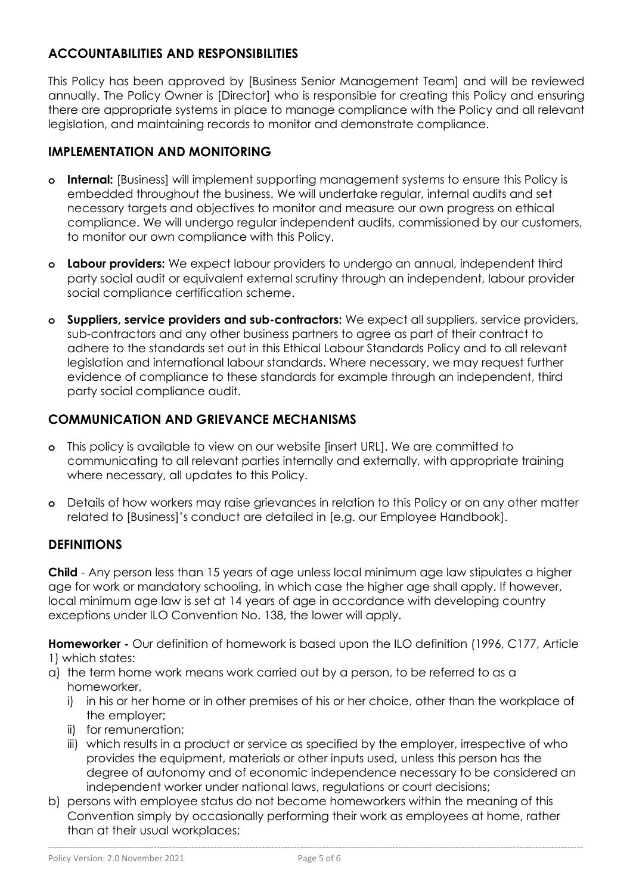# **ACCOUNTABILITIES AND RESPONSIBILITIES**

This Policy has been approved by [Business Senior Management Team] and will be reviewed annually. The Policy Owner is [Director] who is responsible for creating this Policy and ensuring there are appropriate systems in place to manage compliance with the Policy and all relevant legislation, and maintaining records to monitor and demonstrate compliance.

# **IMPLEMENTATION AND MONITORING**

- **o Internal:** [Business] will implement supporting management systems to ensure this Policy is embedded throughout the business. We will undertake regular, internal audits and set necessary targets and objectives to monitor and measure our own progress on ethical compliance. We will undergo regular independent audits, commissioned by our customers, to monitor our own compliance with this Policy.
- **o Labour providers:** We expect labour providers to undergo an annual, independent third party social audit or equivalent external scrutiny through an independent, labour provider social compliance certification scheme.
- **o Suppliers, service providers and sub-contractors:** We expect all suppliers, service providers, sub-contractors and any other business partners to agree as part of their contract to adhere to the standards set out in this Ethical Labour Standards Policy and to all relevant legislation and international labour standards. Where necessary, we may request further evidence of compliance to these standards for example through an independent, third party social compliance audit.

# **COMMUNICATION AND GRIEVANCE MECHANISMS**

- **o** This policy is available to view on our website [insert URL]. We are committed to communicating to all relevant parties internally and externally, with appropriate training where necessary, all updates to this Policy.
- **o** Details of how workers may raise grievances in relation to this Policy or on any other matter related to [Business]'s conduct are detailed in [e.g. our Employee Handbook].

## **DEFINITIONS**

**Child** - Any person less than 15 years of age unless local minimum age law stipulates a higher age for work or mandatory schooling, in which case the higher age shall apply. If however, local minimum age law is set at 14 years of age in accordance with developing country exceptions under ILO Convention No. 138, the lower will apply.

**Homeworker -** Our definition of homework is based upon the ILO definition (1996, C177, Article 1) which states:

- a) the term home work means work carried out by a person, to be referred to as a homeworker,
	- i) in his or her home or in other premises of his or her choice, other than the workplace of the employer;
	- ii) for remuneration;
	- iii) which results in a product or service as specified by the employer, irrespective of who provides the equipment, materials or other inputs used, unless this person has the degree of autonomy and of economic independence necessary to be considered an independent worker under national laws, regulations or court decisions;
- b) persons with employee status do not become homeworkers within the meaning of this Convention simply by occasionally performing their work as employees at home, rather than at their usual workplaces;